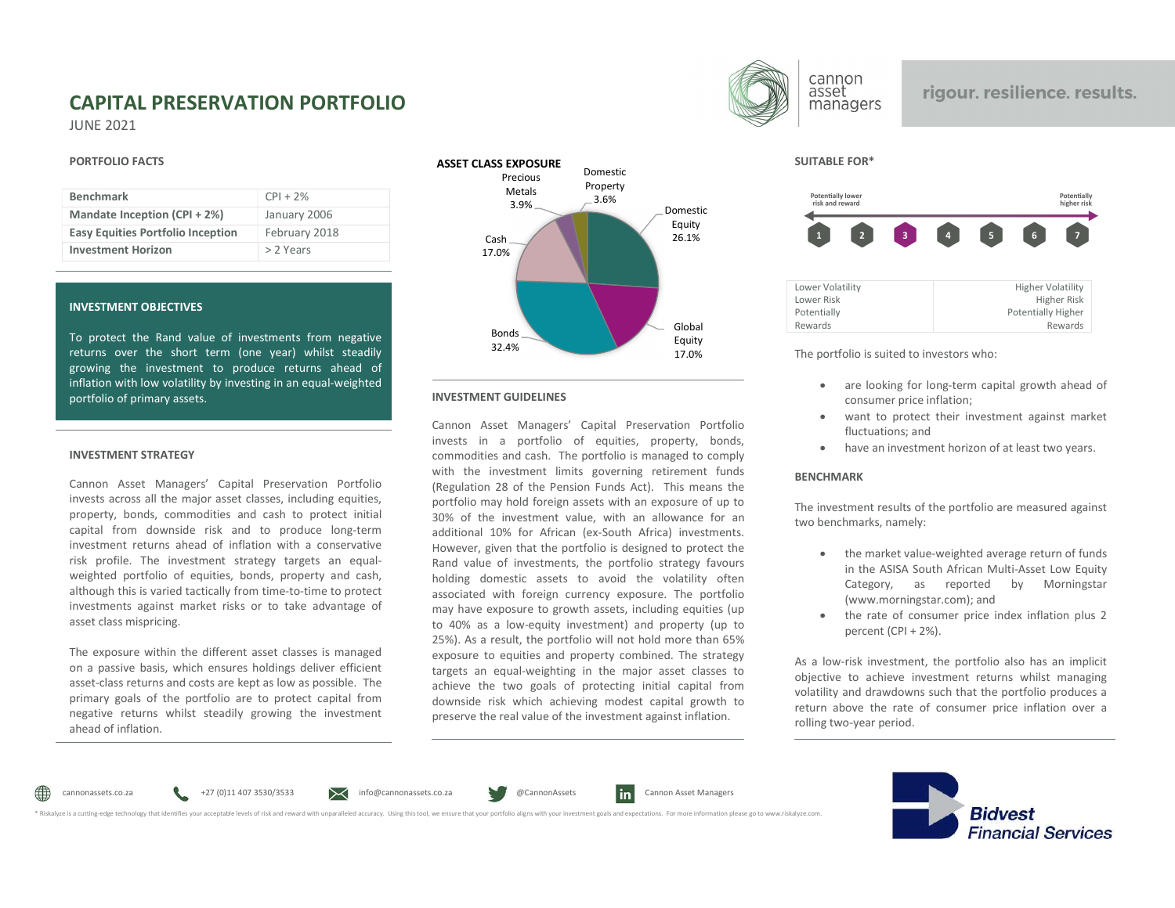# CAPITAL PRESERVATION PORTFOLIO JUNE 2021

#### PORTFOLIO FACTS

| <b>Benchmark</b>                         | $CPI + 2%$    | Metals<br>$3.9\%$ |
|------------------------------------------|---------------|-------------------|
| Mandate Inception (CPI + 2%)             | January 2006  |                   |
| <b>Easy Equities Portfolio Inception</b> | February 2018 | Cash              |
| <b>Investment Horizon</b>                | > 2 Years     | 17.0%             |

## INVESTMENT OBJECTIVES

To protect the Rand value of investments from negative<br>32.4% actions agreed the clear term (and used) whilst atendibute returns over the short term (one year) whilst steadily growing the investment to produce returns ahead of inflation with low volatility by investing in an equal-weighted portfolio of primary assets.

#### INVESTMENT STRATEGY

Cannon Asset Managers' Capital Preservation Portfolio invests across all the major asset classes, including equities, property, bonds, commodities and cash to protect initial capital from downside risk and to produce long-term investment returns ahead of inflation with a conservative risk profile. The investment strategy targets an equalweighted portfolio of equities, bonds, property and cash, although this is varied tactically from time-to-time to protect investments against market risks or to take advantage of asset class mispricing.

The exposure within the different asset classes is managed on a passive basis, which ensures holdings deliver efficient asset-class returns and costs are kept as low as possible. The primary goals of the portfolio are to protect capital from negative returns whilst steadily growing the investment ahead of inflation.



#### INVESTMENT GUIDELINES

Cannon Asset Managers' Capital Preservation Portfolio invests in a portfolio of equities, property, bonds, commodities and cash. The portfolio is managed to comply with the investment limits governing retirement funds (Regulation 28 of the Pension Funds Act). This means the portfolio may hold foreign assets with an exposure of up to 30% of the investment value, with an allowance for an additional 10% for African (ex-South Africa) investments. However, given that the portfolio is designed to protect the Rand value of investments, the portfolio strategy favours holding domestic assets to avoid the volatility often associated with foreign currency exposure. The portfolio may have exposure to growth assets, including equities (up to 40% as a low-equity investment) and property (up to 25%). As a result, the portfolio will not hold more than 65% exposure to equities and property combined. The strategy targets an equal-weighting in the major asset classes to achieve the two goals of protecting initial capital from downside risk which achieving modest capital growth to preserve the real value of the investment against inflation.



# rigour. resilience. results.

SUITABLE FOR\*



17.0% The portfolio is suited to investors who:

- are looking for long-term capital growth ahead of consumer price inflation;
- want to protect their investment against market fluctuations; and
- have an investment horizon of at least two years.

### **BENCHMARK**

The investment results of the portfolio are measured against two benchmarks, namely:

- the market value-weighted average return of funds in the ASISA South African Multi-Asset Low Equity Category, as reported by Morningstar (www.morningstar.com); and
- the rate of consumer price index inflation plus 2 percent (CPI + 2%).

As a low-risk investment, the portfolio also has an implicit objective to achieve investment returns whilst managing volatility and drawdowns such that the portfolio produces a return above the rate of consumer price inflation over a rolling two-year period.



cannonassets.co.za entitled with the material of the S30/3533 entitled accuracy. Using this collapsets.co.za entitled accuracy and provided accuracy and the unparalleled accuracy. Using this tool, we ensure that your portf